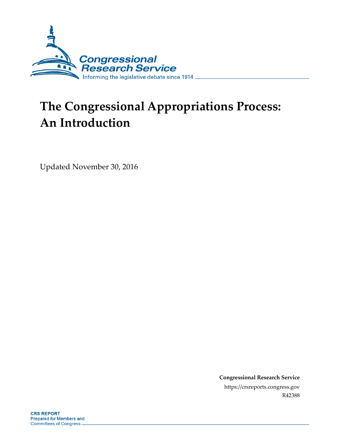

# **The Congressional Appropriations Process: An Introduction**

Updated November 30, 2016

**Congressional Research Service** https://crsreports.congress.gov R42388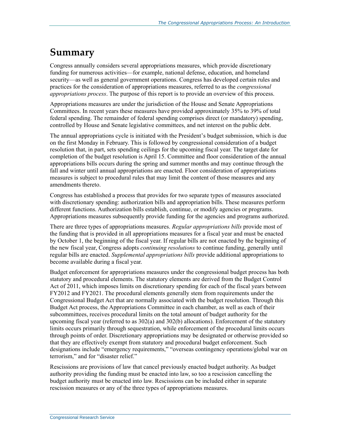## **Summary**

Congress annually considers several appropriations measures, which provide discretionary funding for numerous activities—for example, national defense, education, and homeland security—as well as general government operations. Congress has developed certain rules and practices for the consideration of appropriations measures, referred to as the *congressional appropriations process*. The purpose of this report is to provide an overview of this process.

Appropriations measures are under the jurisdiction of the House and Senate Appropriations Committees. In recent years these measures have provided approximately 35% to 39% of total federal spending. The remainder of federal spending comprises direct (or mandatory) spending, controlled by House and Senate legislative committees, and net interest on the public debt.

The annual appropriations cycle is initiated with the President's budget submission, which is due on the first Monday in February. This is followed by congressional consideration of a budget resolution that, in part, sets spending ceilings for the upcoming fiscal year. The target date for completion of the budget resolution is April 15. Committee and floor consideration of the annual appropriations bills occurs during the spring and summer months and may continue through the fall and winter until annual appropriations are enacted. Floor consideration of appropriations measures is subject to procedural rules that may limit the content of those measures and any amendments thereto.

Congress has established a process that provides for two separate types of measures associated with discretionary spending: authorization bills and appropriation bills. These measures perform different functions. Authorization bills establish, continue, or modify agencies or programs. Appropriations measures subsequently provide funding for the agencies and programs authorized.

There are three types of appropriations measures. *Regular appropriations bills* provide most of the funding that is provided in all appropriations measures for a fiscal year and must be enacted by October 1, the beginning of the fiscal year. If regular bills are not enacted by the beginning of the new fiscal year, Congress adopts *continuing resolutions* to continue funding, generally until regular bills are enacted. *Supplemental appropriations bills* provide additional appropriations to become available during a fiscal year.

Budget enforcement for appropriations measures under the congressional budget process has both statutory and procedural elements. The statutory elements are derived from the Budget Control Act of 2011, which imposes limits on discretionary spending for each of the fiscal years between FY2012 and FY2021. The procedural elements generally stem from requirements under the Congressional Budget Act that are normally associated with the budget resolution. Through this Budget Act process, the Appropriations Committee in each chamber, as well as each of their subcommittees, receives procedural limits on the total amount of budget authority for the upcoming fiscal year (referred to as 302(a) and 302(b) allocations). Enforcement of the statutory limits occurs primarily through sequestration, while enforcement of the procedural limits occurs through points of order. Discretionary appropriations may be designated or otherwise provided so that they are effectively exempt from statutory and procedural budget enforcement. Such designations include "emergency requirements," "overseas contingency operations/global war on terrorism," and for "disaster relief."

Rescissions are provisions of law that cancel previously enacted budget authority. As budget authority providing the funding must be enacted into law, so too a rescission cancelling the budget authority must be enacted into law. Rescissions can be included either in separate rescission measures or any of the three types of appropriations measures.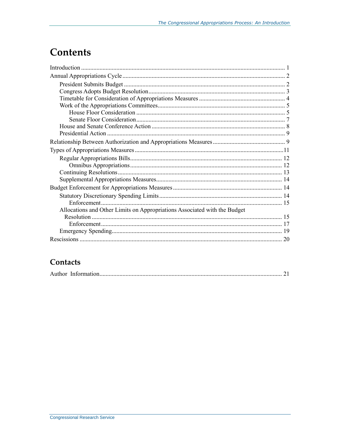## **Contents**

| Allocations and Other Limits on Appropriations Associated with the Budget |  |
|---------------------------------------------------------------------------|--|
|                                                                           |  |
|                                                                           |  |
|                                                                           |  |
|                                                                           |  |

## Contacts

|--|--|--|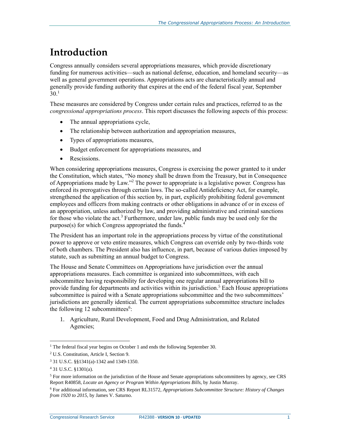## <span id="page-3-0"></span>**Introduction**

Congress annually considers several appropriations measures, which provide discretionary funding for numerous activities—such as national defense, education, and homeland security—as well as general government operations. Appropriations acts are characteristically annual and generally provide funding authority that expires at the end of the federal fiscal year, September  $30<sup>1</sup>$ 

These measures are considered by Congress under certain rules and practices, referred to as the *congressional appropriations process*. This report discusses the following aspects of this process:

- The annual appropriations cycle,
- The relationship between authorization and appropriation measures,
- Types of appropriations measures,
- Budget enforcement for appropriations measures, and
- Rescissions.

When considering appropriations measures, Congress is exercising the power granted to it under the Constitution, which states, "No money shall be drawn from the Treasury, but in Consequence of Appropriations made by Law."<sup>2</sup> The power to appropriate is a legislative power. Congress has enforced its prerogatives through certain laws. The so-called Antideficiency Act, for example, strengthened the application of this section by, in part, explicitly prohibiting federal government employees and officers from making contracts or other obligations in advance of or in excess of an appropriation, unless authorized by law, and providing administrative and criminal sanctions for those who violate the  $act<sup>3</sup>$  Furthermore, under law, public funds may be used only for the purpose(s) for which Congress appropriated the funds.<sup>4</sup>

The President has an important role in the appropriations process by virtue of the constitutional power to approve or veto entire measures, which Congress can override only by two-thirds vote of both chambers. The President also has influence, in part, because of various duties imposed by statute, such as submitting an annual budget to Congress.

The House and Senate Committees on Appropriations have jurisdiction over the annual appropriations measures. Each committee is organized into subcommittees, with each subcommittee having responsibility for developing one regular annual appropriations bill to provide funding for departments and activities within its jurisdiction.<sup>5</sup> Each House appropriations subcommittee is paired with a Senate appropriations subcommittee and the two subcommittees' jurisdictions are generally identical. The current appropriations subcommittee structure includes the following  $12$  subcommittees<sup>6</sup>:

1. Agriculture, Rural Development, Food and Drug Administration, and Related Agencies;

 $\overline{a}$ 

<sup>&</sup>lt;sup>1</sup> The federal fiscal year begins on October 1 and ends the following September 30.

<sup>2</sup> U.S. Constitution, Article I, Section 9.

<sup>3</sup> 31 U.S.C. §§1341(a)-1342 and 1349-1350.

<sup>4</sup> 31 U.S.C. §1301(a).

<sup>&</sup>lt;sup>5</sup> For more information on the jurisdiction of the House and Senate appropriations subcommittees by agency, see CRS Report R40858, *Locate an Agency or Program Within Appropriations Bills*, by Justin Murray.

<sup>6</sup> For additional information, see CRS Report RL31572, *Appropriations Subcommittee Structure: History of Changes from 1920 to 2015*, by James V. Saturno.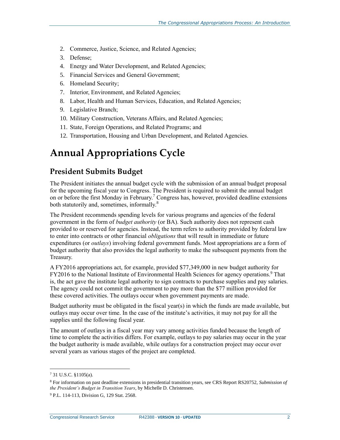- 2. Commerce, Justice, Science, and Related Agencies;
- 3. Defense;
- 4. Energy and Water Development, and Related Agencies;
- 5. Financial Services and General Government;
- 6. Homeland Security;
- 7. Interior, Environment, and Related Agencies;
- 8. Labor, Health and Human Services, Education, and Related Agencies;
- 9. Legislative Branch;
- 10. Military Construction, Veterans Affairs, and Related Agencies;
- 11. State, Foreign Operations, and Related Programs; and
- 12. Transportation, Housing and Urban Development, and Related Agencies.

## <span id="page-4-0"></span>**Annual Appropriations Cycle**

#### <span id="page-4-1"></span>**President Submits Budget**

The President initiates the annual budget cycle with the submission of an annual budget proposal for the upcoming fiscal year to Congress. The President is required to submit the annual budget on or before the first Monday in February.<sup>7</sup> Congress has, however, provided deadline extensions both statutorily and, sometimes, informally.<sup>8</sup>

The President recommends spending levels for various programs and agencies of the federal government in the form of *budget authority* (or BA). Such authority does not represent cash provided to or reserved for agencies. Instead, the term refers to authority provided by federal law to enter into contracts or other financial *obligations* that will result in immediate or future expenditures (or *outlays*) involving federal government funds. Most appropriations are a form of budget authority that also provides the legal authority to make the subsequent payments from the Treasury.

A FY2016 appropriations act, for example, provided \$77,349,000 in new budget authority for FY2016 to the National Institute of Environmental Health Sciences for agency operations.<sup>9</sup> That is, the act gave the institute legal authority to sign contracts to purchase supplies and pay salaries. The agency could not commit the government to pay more than the \$77 million provided for these covered activities. The outlays occur when government payments are made.

Budget authority must be obligated in the fiscal year(s) in which the funds are made available, but outlays may occur over time. In the case of the institute's activities, it may not pay for all the supplies until the following fiscal year.

The amount of outlays in a fiscal year may vary among activities funded because the length of time to complete the activities differs. For example, outlays to pay salaries may occur in the year the budget authority is made available, while outlays for a construction project may occur over several years as various stages of the project are completed.

<sup>7</sup> 31 U.S.C. §1105(a).

<sup>8</sup> For information on past deadline extensions in presidential transition years, see CRS Report RS20752, *Submission of the President's Budget in Transition Years*, by Michelle D. Christensen.

<sup>&</sup>lt;sup>9</sup> P.L. 114-113, Division G, 129 Stat. 2568.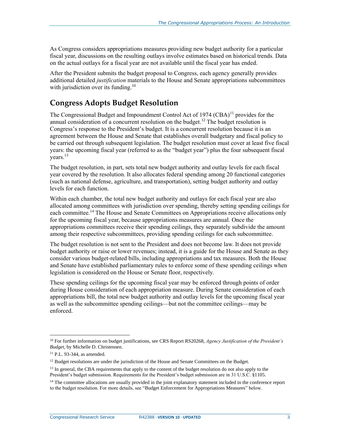As Congress considers appropriations measures providing new budget authority for a particular fiscal year, discussions on the resulting outlays involve estimates based on historical trends. Data on the actual outlays for a fiscal year are not available until the fiscal year has ended.

After the President submits the budget proposal to Congress, each agency generally provides additional detailed *justification* materials to the House and Senate appropriations subcommittees with jurisdiction over its funding.<sup>10</sup>

## <span id="page-5-0"></span>**Congress Adopts Budget Resolution**

The Congressional Budget and Impoundment Control Act of 1974  $(CBA)^{11}$  provides for the annual consideration of a concurrent resolution on the budget.<sup>12</sup> The budget resolution is Congress's response to the President's budget. It is a concurrent resolution because it is an agreement between the House and Senate that establishes overall budgetary and fiscal policy to be carried out through subsequent legislation. The budget resolution must cover at least five fiscal years: the upcoming fiscal year (referred to as the "budget year") plus the four subsequent fiscal years.<sup>13</sup>

The budget resolution, in part, sets total new budget authority and outlay levels for each fiscal year covered by the resolution. It also allocates federal spending among 20 functional categories (such as national defense, agriculture, and transportation), setting budget authority and outlay levels for each function.

Within each chamber, the total new budget authority and outlays for each fiscal year are also allocated among committees with jurisdiction over spending, thereby setting spending ceilings for each committee.<sup>14</sup> The House and Senate Committees on Appropriations receive allocations only for the upcoming fiscal year, because appropriations measures are annual. Once the appropriations committees receive their spending ceilings, they separately subdivide the amount among their respective subcommittees, providing spending ceilings for each subcommittee.

The budget resolution is not sent to the President and does not become law. It does not provide budget authority or raise or lower revenues; instead, it is a guide for the House and Senate as they consider various budget-related bills, including appropriations and tax measures. Both the House and Senate have established parliamentary rules to enforce some of these spending ceilings when legislation is considered on the House or Senate floor, respectively.

These spending ceilings for the upcoming fiscal year may be enforced through points of order during House consideration of each appropriation measure. During Senate consideration of each appropriations bill, the total new budget authority and outlay levels for the upcoming fiscal year as well as the subcommittee spending ceilings—but not the committee ceilings—may be enforced.

 $\overline{a}$ 

<sup>10</sup> For further information on budget justifications, see CRS Report RS20268, *Agency Justification of the President's Budget*, by Michelle D. Christensen.

<sup>11</sup> P.L. 93-344, as amended.

 $12$  Budget resolutions are under the jurisdiction of the House and Senate Committees on the Budget.

<sup>&</sup>lt;sup>13</sup> In general, the CBA requirements that apply to the content of the budget resolution do not also apply to the President's budget submission. Requirements for the President's budget submission are in 31 U.S.C. §1105.

<sup>&</sup>lt;sup>14</sup> The committee allocations are usually provided in the joint explanatory statement included in the conference report to the budget resolution. For more details, see ["Budget Enforcement for Appropriations Measures"](#page-16-1) below.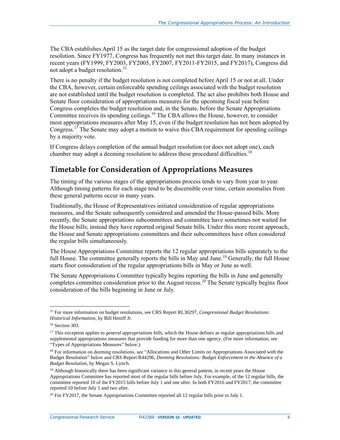The CBA establishes April 15 as the target date for congressional adoption of the budget resolution. Since FY1977, Congress has frequently not met this target date. In many instances in recent years (FY1999, FY2003, FY2005, FY2007, FY2011-FY2015, and FY2017), Congress did not adopt a budget resolution.<sup>15</sup>

There is no penalty if the budget resolution is not completed before April 15 or not at all. Under the CBA, however, certain enforceable spending ceilings associated with the budget resolution are not established until the budget resolution is completed. The act also prohibits both House and Senate floor consideration of appropriations measures for the upcoming fiscal year before Congress completes the budget resolution and, in the Senate, before the Senate Appropriations Committee receives its spending ceilings.<sup>16</sup> The CBA allows the House, however, to consider most appropriations measures after May 15, even if the budget resolution has not been adopted by Congress.<sup>17</sup> The Senate may adopt a motion to waive this CBA requirement for spending ceilings by a majority vote.

If Congress delays completion of the annual budget resolution (or does not adopt one), each chamber may adopt a deeming resolution to address these procedural difficulties.<sup>18</sup>

## <span id="page-6-0"></span>**Timetable for Consideration of Appropriations Measures**

The timing of the various stages of the appropriations process tends to vary from year to year. Although timing patterns for each stage tend to be discernible over time, certain anomalies from these general patterns occur in many years.

Traditionally, the House of Representatives initiated consideration of regular appropriations measures, and the Senate subsequently considered and amended the House-passed bills. More recently, the Senate appropriations subcommittees and committee have sometimes not waited for the House bills; instead they have reported original Senate bills. Under this more recent approach, the House and Senate appropriations committees and their subcommittees have often considered the regular bills simultaneously.

The House Appropriations Committee reports the 12 regular appropriations bills separately to the full House. The committee generally reports the bills in May and June.<sup>19</sup> Generally, the full House starts floor consideration of the regular appropriations bills in May or June as well.

The Senate Appropriations Committee typically begins reporting the bills in June and generally completes committee consideration prior to the August recess.<sup>20</sup> The Senate typically begins floor consideration of the bills beginning in June or July.

<sup>15</sup> For more information on budget resolutions, see CRS Report RL30297, *Congressional Budget Resolutions: Historical Information*, by Bill Heniff Jr.

<sup>16</sup> Section 303.

<sup>&</sup>lt;sup>17</sup> This exception applies to *general appropriations bills*, which the House defines as regular appropriations bills and supplemental appropriations measures that provide funding for more than one agency. (For more information, see ["Types of Appropriations Measures"](#page-13-0) below.)

<sup>&</sup>lt;sup>18</sup> For information on deeming resolutions, see "Allocations and Other Limits on Appropriations Associated with the [Budget Resolution"](#page-17-1) below and CRS Report R44296, *Deeming Resolutions: Budget Enforcement in the Absence of a Budget Resolution*, by Megan S. Lynch.

 $19$  Although historically there has been significant variance in this general pattern, in recent years the House Appropriations Committee has reported most of the regular bills before July. For example, of the 12 regular bills, the committee reported 10 of the FY2015 bills before July 1 and one after. In both FY2016 and FY2017, the committee reported 10 before July 1 and two after.

<sup>&</sup>lt;sup>20</sup> For FY2017, the Senate Appropriations Committee reported all 12 regular bills prior to July 1.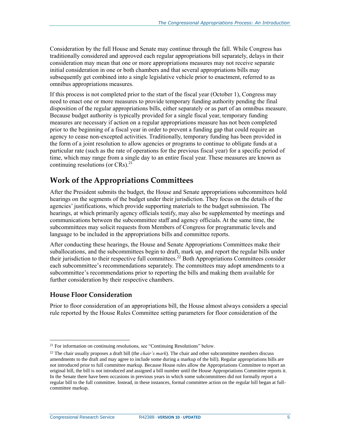Consideration by the full House and Senate may continue through the fall. While Congress has traditionally considered and approved each regular appropriations bill separately, delays in their consideration may mean that one or more appropriations measures may not receive separate initial consideration in one or both chambers and that several appropriations bills may subsequently get combined into a single legislative vehicle prior to enactment, referred to as omnibus appropriations measures.

If this process is not completed prior to the start of the fiscal year (October 1), Congress may need to enact one or more measures to provide temporary funding authority pending the final disposition of the regular appropriations bills, either separately or as part of an omnibus measure. Because budget authority is typically provided for a single fiscal year, temporary funding measures are necessary if action on a regular appropriations measure has not been completed prior to the beginning of a fiscal year in order to prevent a funding gap that could require an agency to cease non-excepted activities. Traditionally, temporary funding has been provided in the form of a joint resolution to allow agencies or programs to continue to obligate funds at a particular rate (such as the rate of operations for the previous fiscal year) for a specific period of time, which may range from a single day to an entire fiscal year. These measures are known as continuing resolutions (or CRs). $^{21}$ 

### <span id="page-7-0"></span>**Work of the Appropriations Committees**

After the President submits the budget, the House and Senate appropriations subcommittees hold hearings on the segments of the budget under their jurisdiction. They focus on the details of the agencies' justifications, which provide supporting materials to the budget submission. The hearings, at which primarily agency officials testify, may also be supplemented by meetings and communications between the subcommittee staff and agency officials. At the same time, the subcommittees may solicit requests from Members of Congress for programmatic levels and language to be included in the appropriations bills and committee reports.

After conducting these hearings, the House and Senate Appropriations Committees make their suballocations, and the subcommittees begin to draft, mark up, and report the regular bills under their jurisdiction to their respective full committees.<sup>22</sup> Both Appropriations Committees consider each subcommittee's recommendations separately. The committees may adopt amendments to a subcommittee's recommendations prior to reporting the bills and making them available for further consideration by their respective chambers.

#### <span id="page-7-1"></span>**House Floor Consideration**

Prior to floor consideration of an appropriations bill, the House almost always considers a special rule reported by the House Rules Committee setting parameters for floor consideration of the

<sup>&</sup>lt;sup>21</sup> For information on continuing resolutions, see ["Continuing Resolutions"](#page-15-0) below.

<sup>22</sup> The chair usually proposes a draft bill (the *chair's mark*). The chair and other subcommittee members discuss amendments to the draft and may agree to include some during a markup of the bill). Regular appropriations bills are not introduced prior to full committee markup. Because House rules allow the Appropriations Committee to report an original bill, the bill is not introduced and assigned a bill number until the House Appropriations Committee reports it. In the Senate there have been occasions in previous years in which some subcommittees did not formally report a regular bill to the full committee. Instead, in these instances, formal committee action on the regular bill began at fullcommittee markup.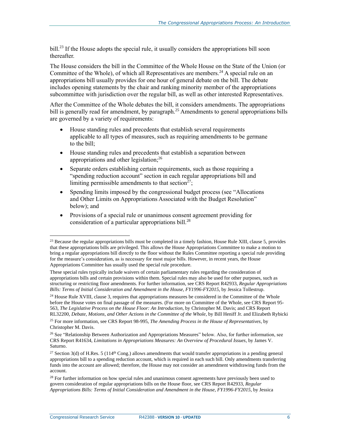bill.<sup>23</sup> If the House adopts the special rule, it usually considers the appropriations bill soon thereafter.

The House considers the bill in the Committee of the Whole House on the State of the Union (or Committee of the Whole), of which all Representatives are members.<sup>24</sup> A special rule on an appropriations bill usually provides for one hour of general debate on the bill. The debate includes opening statements by the chair and ranking minority member of the appropriations subcommittee with jurisdiction over the regular bill, as well as other interested Representatives.

After the Committee of the Whole debates the bill, it considers amendments. The appropriations bill is generally read for amendment, by paragraph.<sup>25</sup> Amendments to general appropriations bills are governed by a variety of requirements:

- House standing rules and precedents that establish several requirements applicable to all types of measures, such as requiring amendments to be germane to the bill;
- House standing rules and precedents that establish a separation between appropriations and other legislation;<sup>26</sup>
- Separate orders establishing certain requirements, such as those requiring a "spending reduction account" section in each regular appropriations bill and limiting permissible amendments to that section<sup> $27$ </sup>;
- Spending limits imposed by the congressional budget process (see ["Allocations](#page-17-1)  [and Other Limits on Appropriations Associated with the Budget Resolution"](#page-17-1) below); and
- Provisions of a special rule or unanimous consent agreement providing for consideration of a particular appropriations bill.<sup>28</sup>

 $23$  Because the regular appropriations bills must be completed in a timely fashion, House Rule XIII, clause 5, provides that these appropriations bills are privileged. This allows the House Appropriations Committee to make a motion to bring a regular appropriations bill directly to the floor without the Rules Committee reporting a special rule providing for the measure's consideration, as is necessary for most major bills. However, in recent years, the House Appropriations Committee has usually used the special rule procedure.

These special rules typically include waivers of certain parliamentary rules regarding the consideration of appropriations bills and certain provisions within them. Special rules may also be used for other purposes, such as structuring or restricting floor amendments. For further information, see CRS Report R42933, *Regular Appropriations Bills: Terms of Initial Consideration and Amendment in the House, FY1996-FY2015*, by Jessica Tollestrup.

<sup>&</sup>lt;sup>24</sup> House Rule XVIII, clause 3, requires that appropriations measures be considered in the Committee of the Whole before the House votes on final passage of the measures. (For more on Committee of the Whole, see CRS Report 95- 563, *The Legislative Process on the House Floor: An Introduction*, by Christopher M. Davis; and CRS Report RL32200, *Debate, Motions, and Other Actions in the Committee of the Whole*, by Bill Heniff Jr. and Elizabeth Rybicki

<sup>25</sup> For more information, see CRS Report 98-995, *The Amending Process in the House of Representatives*, by Christopher M. Davis.

<sup>&</sup>lt;sup>26</sup> See ["Relationship Between Authorization and Appropriations Measures"](#page-11-1) below. Also, for further information, see CRS Report R41634, *Limitations in Appropriations Measures: An Overview of Procedural Issues*, by James V. Saturno.

<sup>&</sup>lt;sup>27</sup> Section 3(d) of H.Res. 5 ( $114<sup>th</sup>$  Cong.) allows amendments that would transfer appropriations in a pending general appropriations bill to a spending reduction account, which is required in each such bill. Only amendments transferring funds into the account are allowed; therefore, the House may not consider an amendment withdrawing funds from the account.

<sup>&</sup>lt;sup>28</sup> For further information on how special rules and unanimous consent agreements have previously been used to govern consideration of regular appropriations bills on the House floor, see CRS Report R42933, *Regular Appropriations Bills: Terms of Initial Consideration and Amendment in the House, FY1996-FY2015*, by Jessica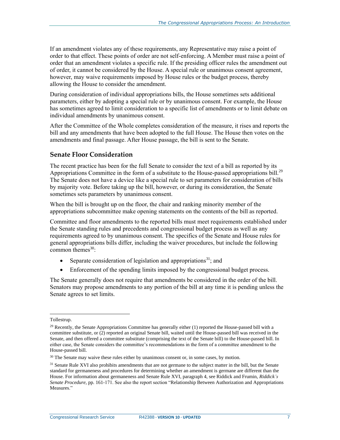If an amendment violates any of these requirements, any Representative may raise a point of order to that effect. These points of order are not self-enforcing. A Member must raise a point of order that an amendment violates a specific rule. If the presiding officer rules the amendment out of order, it cannot be considered by the House. A special rule or unanimous consent agreement, however, may waive requirements imposed by House rules or the budget process, thereby allowing the House to consider the amendment.

During consideration of individual appropriations bills, the House sometimes sets additional parameters, either by adopting a special rule or by unanimous consent. For example, the House has sometimes agreed to limit consideration to a specific list of amendments or to limit debate on individual amendments by unanimous consent.

After the Committee of the Whole completes consideration of the measure, it rises and reports the bill and any amendments that have been adopted to the full House. The House then votes on the amendments and final passage. After House passage, the bill is sent to the Senate.

#### <span id="page-9-0"></span>**Senate Floor Consideration**

The recent practice has been for the full Senate to consider the text of a bill as reported by its Appropriations Committee in the form of a substitute to the House-passed appropriations bill.<sup>29</sup> The Senate does not have a device like a special rule to set parameters for consideration of bills by majority vote. Before taking up the bill, however, or during its consideration, the Senate sometimes sets parameters by unanimous consent.

When the bill is brought up on the floor, the chair and ranking minority member of the appropriations subcommittee make opening statements on the contents of the bill as reported.

Committee and floor amendments to the reported bills must meet requirements established under the Senate standing rules and precedents and congressional budget process as well as any requirements agreed to by unanimous consent. The specifics of the Senate and House rules for general appropriations bills differ, including the waiver procedures, but include the following common themes $30$ :

- Separate consideration of legislation and appropriations<sup>31</sup>; and
- Enforcement of the spending limits imposed by the congressional budget process.

The Senate generally does not require that amendments be considered in the order of the bill. Senators may propose amendments to any portion of the bill at any time it is pending unless the Senate agrees to set limits.

 $\overline{a}$ 

Tollestrup.

 $29$  Recently, the Senate Appropriations Committee has generally either (1) reported the House-passed bill with a committee substitute, or (2) reported an original Senate bill, waited until the House-passed bill was received in the Senate, and then offered a committee substitute (comprising the text of the Senate bill) to the House-passed bill. In either case, the Senate considers the committee's recommendations in the form of a committee amendment to the House-passed bill.

<sup>&</sup>lt;sup>30</sup> The Senate may waive these rules either by unanimous consent or, in some cases, by motion.

<sup>&</sup>lt;sup>31</sup> Senate Rule XVI also prohibits amendments that are not germane to the subject matter in the bill, but the Senate standard for germaneness and procedures for determining whether an amendment is germane are different than the House. For information about germaneness and Senate Rule XVI, paragraph 4, see Riddick and Frumin, *Riddick's Senate Procedure*, pp. 161-171. See also the report section ["Relationship Between Authorization and Appropriations](#page-11-1)  [Measures."](#page-11-1)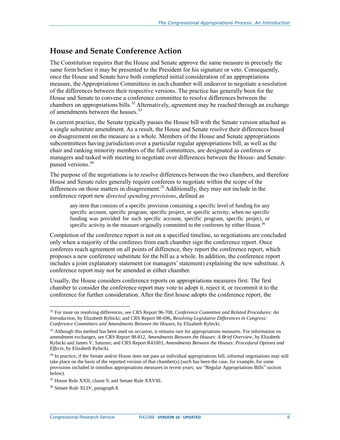### <span id="page-10-0"></span>**House and Senate Conference Action**

The Constitution requires that the House and Senate approve the same measure in precisely the same form before it may be presented to the President for his signature or veto. Consequently, once the House and Senate have both completed initial consideration of an appropriations measure, the Appropriations Committees in each chamber will endeavor to negotiate a resolution of the differences between their respective versions. The practice has generally been for the House and Senate to convene a conference committee to resolve differences between the chambers on appropriations bills.<sup>32</sup> Alternatively, agreement may be reached through an exchange of amendments between the houses.<sup>33</sup>

In current practice, the Senate typically passes the House bill with the Senate version attached as a single substitute amendment. As a result, the House and Senate resolve their differences based on disagreement on the measure as a whole. Members of the House and Senate appropriations subcommittees having jurisdiction over a particular regular appropriations bill, as well as the chair and ranking minority members of the full committees, are designated as conferees or managers and tasked with meeting to negotiate over differences between the House- and Senatepassed versions. 34

The purpose of the negotiations is to resolve differences between the two chambers, and therefore House and Senate rules generally require conferees to negotiate within the scope of the differences on those matters in disagreement.<sup>35</sup> Additionally, they may not include in the conference report new *directed spending provisions*, defined as

any item that consists of a specific provision containing a specific level of funding for any specific account, specific program, specific project, or specific activity, when no specific funding was provided for such specific account, specific program, specific project, or specific activity in the measure originally committed to the conferees by either House.<sup>36</sup>

Completion of the conference report is not on a specified timeline, so negotiations are concluded only when a majority of the conferees from each chamber sign the conference report. Once conferees reach agreement on all points of difference, they report the conference report, which proposes a new conference substitute for the bill as a whole. In addition, the conference report includes a joint explanatory statement (or managers' statement) explaining the new substitute. A conference report may not be amended in either chamber.

Usually, the House considers conference reports on appropriations measures first. The first chamber to consider the conference report may vote to adopt it, reject it, or recommit it to the conference for further consideration. After the first house adopts the conference report, the

<sup>32</sup> For more on resolving differences, see CRS Report 96-708, *Conference Committee and Related Procedures: An Introduction*, by Elizabeth Rybicki; and CRS Report 98-696, *Resolving Legislative Differences in Congress: Conference Committees and Amendments Between the Houses*, by Elizabeth Rybicki.

 $33$  Although this method has been used on occasion, it remains rare for appropriations measures. For information on amendment exchanges, see CRS Report 98-812, *Amendments Between the Houses: A Brief Overview*, by Elizabeth Rybicki and James V. Saturno; and CRS Report R41003, *Amendments Between the Houses: Procedural Options and Effects*, by Elizabeth Rybicki.

<sup>&</sup>lt;sup>34</sup> In practice, if the Senate and/or House does not pass an individual appropriations bill, informal negotiations may still take place on the basis of the reported version of that chamber(s) (such has been the case, for example, for some provisions included in omnibus appropriations measures in recent years; see ["Regular Appropriations Bills"](#page-14-0) section below).

<sup>35</sup> House Rule XXII, clause 9, and Senate Rule XXVIII.

<sup>36</sup> Senate Rule XLIV, paragraph 8.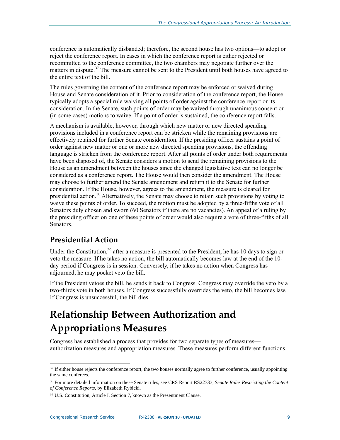conference is automatically disbanded; therefore, the second house has two options—to adopt or reject the conference report. In cases in which the conference report is either rejected or recommitted to the conference committee, the two chambers may negotiate further over the matters in dispute.<sup>37</sup> The measure cannot be sent to the President until both houses have agreed to the entire text of the bill.

The rules governing the content of the conference report may be enforced or waived during House and Senate consideration of it. Prior to consideration of the conference report, the House typically adopts a special rule waiving all points of order against the conference report or its consideration. In the Senate, such points of order may be waived through unanimous consent or (in some cases) motions to waive. If a point of order is sustained, the conference report falls.

A mechanism is available, however, through which new matter or new directed spending provisions included in a conference report can be stricken while the remaining provisions are effectively retained for further Senate consideration. If the presiding officer sustains a point of order against new matter or one or more new directed spending provisions, the offending language is stricken from the conference report. After all points of order under both requirements have been disposed of, the Senate considers a motion to send the remaining provisions to the House as an amendment between the houses since the changed legislative text can no longer be considered as a conference report. The House would then consider the amendment. The House may choose to further amend the Senate amendment and return it to the Senate for further consideration. If the House, however, agrees to the amendment, the measure is cleared for presidential action.<sup>38</sup> Alternatively, the Senate may choose to retain such provisions by voting to waive these points of order. To succeed, the motion must be adopted by a three-fifths vote of all Senators duly chosen and sworn (60 Senators if there are no vacancies). An appeal of a ruling by the presiding officer on one of these points of order would also require a vote of three-fifths of all Senators.

### <span id="page-11-0"></span>**Presidential Action**

Under the Constitution,<sup>39</sup> after a measure is presented to the President, he has 10 days to sign or veto the measure. If he takes no action, the bill automatically becomes law at the end of the 10 day period if Congress is in session. Conversely, if he takes no action when Congress has adjourned, he may pocket veto the bill.

If the President vetoes the bill, he sends it back to Congress. Congress may override the veto by a two-thirds vote in both houses. If Congress successfully overrides the veto, the bill becomes law. If Congress is unsuccessful, the bill dies.

## <span id="page-11-1"></span>**Relationship Between Authorization and Appropriations Measures**

Congress has established a process that provides for two separate types of measures authorization measures and appropriation measures. These measures perform different functions.

<sup>&</sup>lt;sup>37</sup> If either house rejects the conference report, the two houses normally agree to further conference, usually appointing the same conferees.

<sup>38</sup> For more detailed information on these Senate rules, see CRS Report RS22733, *Senate Rules Restricting the Content of Conference Reports*, by Elizabeth Rybicki.

<sup>39</sup> U.S. Constitution, Article I, Section 7, known as the Presentment Clause.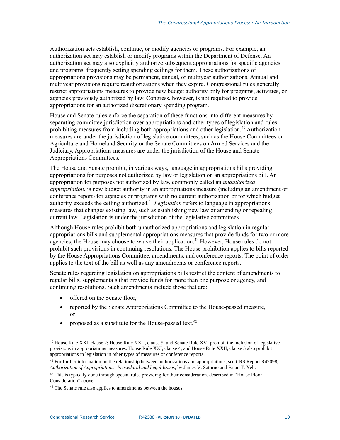Authorization acts establish, continue, or modify agencies or programs. For example, an authorization act may establish or modify programs within the Department of Defense. An authorization act may also explicitly authorize subsequent appropriations for specific agencies and programs, frequently setting spending ceilings for them. These authorizations of appropriations provisions may be permanent, annual, or multiyear authorizations. Annual and multiyear provisions require reauthorizations when they expire. Congressional rules generally restrict appropriations measures to provide new budget authority only for programs, activities, or agencies previously authorized by law. Congress, however, is not required to provide appropriations for an authorized discretionary spending program.

House and Senate rules enforce the separation of these functions into different measures by separating committee jurisdiction over appropriations and other types of legislation and rules prohibiting measures from including both appropriations and other legislation. <sup>40</sup> Authorization measures are under the jurisdiction of legislative committees, such as the House Committees on Agriculture and Homeland Security or the Senate Committees on Armed Services and the Judiciary. Appropriations measures are under the jurisdiction of the House and Senate Appropriations Committees.

The House and Senate prohibit, in various ways, language in appropriations bills providing appropriations for purposes not authorized by law or legislation on an appropriations bill. An appropriation for purposes not authorized by law, commonly called an *unauthorized appropriation*, is new budget authority in an appropriations measure (including an amendment or conference report) for agencies or programs with no current authorization or for which budget authority exceeds the ceiling authorized.<sup>41</sup> *Legislation* refers to language in appropriations measures that changes existing law, such as establishing new law or amending or repealing current law. Legislation is under the jurisdiction of the legislative committees.

Although House rules prohibit both unauthorized appropriations and legislation in regular appropriations bills and supplemental appropriations measures that provide funds for two or more agencies, the House may choose to waive their application.<sup>42</sup> However, House rules do not prohibit such provisions in continuing resolutions. The House prohibition applies to bills reported by the House Appropriations Committee, amendments, and conference reports. The point of order applies to the text of the bill as well as any amendments or conference reports.

Senate rules regarding legislation on appropriations bills restrict the content of amendments to regular bills, supplementals that provide funds for more than one purpose or agency, and continuing resolutions. Such amendments include those that are:

- offered on the Senate floor,
- reported by the Senate Appropriations Committee to the House-passed measure, or
- proposed as a substitute for the House-passed text.<sup>43</sup>

Congressional Research Service R42388 **· VERSION 10 · UPDATED** 10

<sup>40</sup> House Rule XXI, clause 2; House Rule XXII, clause 5; and Senate Rule XVI prohibit the inclusion of legislative provisions in appropriations measures. House Rule XXI, clause 4; and House Rule XXII, clause 5 also prohibit appropriations in legislation in other types of measures or conference reports.

 $41$  For further information on the relationship between authorizations and appropriations, see CRS Report R42098, *Authorization of Appropriations: Procedural and Legal Issues*, by James V. Saturno and Brian T. Yeh.

<sup>&</sup>lt;sup>42</sup> This is typically done through special rules providing for their consideration, described in ["House](#page-7-1) Floor [Consideration"](#page-7-1) above.

<sup>&</sup>lt;sup>43</sup> The Senate rule also applies to amendments between the houses.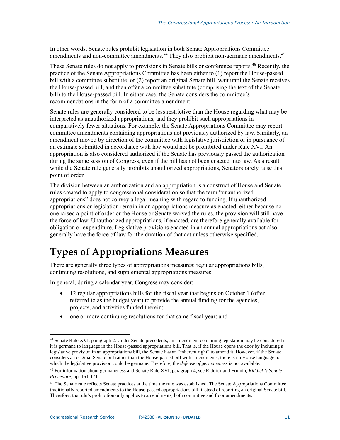In other words, Senate rules prohibit legislation in both Senate Appropriations Committee amendments and non-committee amendments.<sup>44</sup> They also prohibit non-germane amendments.<sup>45</sup>

These Senate rules do not apply to provisions in Senate bills or conference reports.<sup>46</sup> Recently, the practice of the Senate Appropriations Committee has been either to (1) report the House-passed bill with a committee substitute, or (2) report an original Senate bill, wait until the Senate receives the House-passed bill, and then offer a committee substitute (comprising the text of the Senate bill) to the House-passed bill. In either case, the Senate considers the committee's recommendations in the form of a committee amendment.

Senate rules are generally considered to be less restrictive than the House regarding what may be interpreted as unauthorized appropriations, and they prohibit such appropriations in comparatively fewer situations. For example, the Senate Appropriations Committee may report committee amendments containing appropriations not previously authorized by law. Similarly, an amendment moved by direction of the committee with legislative jurisdiction or in pursuance of an estimate submitted in accordance with law would not be prohibited under Rule XVI. An appropriation is also considered authorized if the Senate has previously passed the authorization during the same session of Congress, even if the bill has not been enacted into law. As a result, while the Senate rule generally prohibits unauthorized appropriations, Senators rarely raise this point of order.

The division between an authorization and an appropriation is a construct of House and Senate rules created to apply to congressional consideration so that the term "unauthorized appropriations" does not convey a legal meaning with regard to funding. If unauthorized appropriations or legislation remain in an appropriations measure as enacted, either because no one raised a point of order or the House or Senate waived the rules, the provision will still have the force of law. Unauthorized appropriations, if enacted, are therefore generally available for obligation or expenditure. Legislative provisions enacted in an annual appropriations act also generally have the force of law for the duration of that act unless otherwise specified.

## <span id="page-13-0"></span>**Types of Appropriations Measures**

There are generally three types of appropriations measures: regular appropriations bills, continuing resolutions, and supplemental appropriations measures.

In general, during a calendar year, Congress may consider:

- 12 regular appropriations bills for the fiscal year that begins on October 1 (often referred to as the budget year) to provide the annual funding for the agencies, projects, and activities funded therein;
- one or more continuing resolutions for that same fiscal year; and

Congressional Research Service R42388 **· VERSION 10 · UPDATED** 11

<sup>44</sup> Senate Rule XVI, paragraph 2. Under Senate precedents, an amendment containing legislation may be considered if it is germane to language in the House-passed appropriations bill. That is, if the House opens the door by including a legislative provision in an appropriations bill, the Senate has an "inherent right" to amend it. However, if the Senate considers an original Senate bill rather than the House-passed bill with amendments, there is no House language to which the legislative provision could be germane. Therefore, the *defense of germaneness* is not available.

<sup>45</sup> For information about germaneness and Senate Rule XVI, paragraph 4, see Riddick and Frumin, *Riddick's Senate Procedure*, pp. 161-171.

<sup>&</sup>lt;sup>46</sup> The Senate rule reflects Senate practices at the time the rule was established. The Senate Appropriations Committee traditionally reported amendments to the House-passed appropriations bill, instead of reporting an original Senate bill. Therefore, the rule's prohibition only applies to amendments, both committee and floor amendments.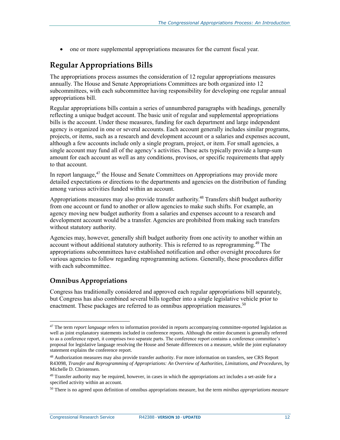one or more supplemental appropriations measures for the current fiscal year.

## <span id="page-14-0"></span>**Regular Appropriations Bills**

The appropriations process assumes the consideration of 12 regular appropriations measures annually. The House and Senate Appropriations Committees are both organized into 12 subcommittees, with each subcommittee having responsibility for developing one regular annual appropriations bill.

Regular appropriations bills contain a series of unnumbered paragraphs with headings, generally reflecting a unique budget account. The basic unit of regular and supplemental appropriations bills is the account. Under these measures, funding for each department and large independent agency is organized in one or several accounts. Each account generally includes similar programs, projects, or items, such as a research and development account or a salaries and expenses account, although a few accounts include only a single program, project, or item. For small agencies, a single account may fund all of the agency's activities. These acts typically provide a lump-sum amount for each account as well as any conditions, provisos, or specific requirements that apply to that account.

In report language, $47$  the House and Senate Committees on Appropriations may provide more detailed expectations or directions to the departments and agencies on the distribution of funding among various activities funded within an account.

Appropriations measures may also provide transfer authority.<sup>48</sup> Transfers shift budget authority from one account or fund to another or allow agencies to make such shifts. For example, an agency moving new budget authority from a salaries and expenses account to a research and development account would be a transfer. Agencies are prohibited from making such transfers without statutory authority.

Agencies may, however, generally shift budget authority from one activity to another within an account without additional statutory authority. This is referred to as reprogramming. <sup>49</sup> The appropriations subcommittees have established notification and other oversight procedures for various agencies to follow regarding reprogramming actions. Generally, these procedures differ with each subcommittee.

#### <span id="page-14-1"></span>**Omnibus Appropriations**

 $\overline{a}$ 

Congress has traditionally considered and approved each regular appropriations bill separately, but Congress has also combined several bills together into a single legislative vehicle prior to enactment. These packages are referred to as omnibus appropriation measures.<sup>50</sup>

<sup>47</sup> The term *report language* refers to information provided in reports accompanying committee-reported legislation as well as joint explanatory statements included in conference reports. Although the entire document is generally referred to as a conference report, it comprises two separate parts. The conference report contains a conference committee's proposal for legislative language resolving the House and Senate differences on a measure, while the joint explanatory statement explains the conference report.

<sup>48</sup> Authorization measures may also provide transfer authority. For more information on transfers, see CRS Report R43098, *Transfer and Reprogramming of Appropriations: An Overview of Authorities, Limitations, and Procedures*, by Michelle D. Christensen.

<sup>&</sup>lt;sup>49</sup> Transfer authority may be required, however, in cases in which the appropriations act includes a set-aside for a specified activity within an account.

<sup>50</sup> There is no agreed upon definition of omnibus appropriations measure, but the term *minibus appropriations measure*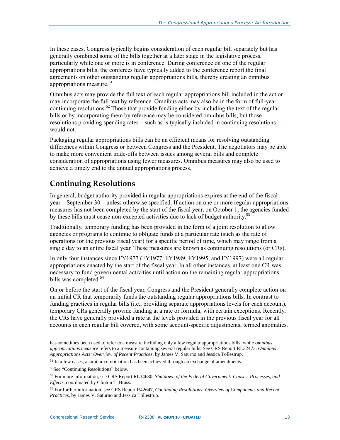In these cases, Congress typically begins consideration of each regular bill separately but has generally combined some of the bills together at a later stage in the legislative process, particularly while one or more is in conference. During conference on one of the regular appropriations bills, the conferees have typically added to the conference report the final agreements on other outstanding regular appropriations bills, thereby creating an omnibus appropriations measure.<sup>51</sup>

Omnibus acts may provide the full text of each regular appropriations bill included in the act or may incorporate the full text by reference. Omnibus acts may also be in the form of full-year continuing resolutions.<sup>52</sup> Those that provide funding either by including the text of the regular bills or by incorporating them by reference may be considered omnibus bills, but those resolutions providing spending rates—such as is typically included in continuing resolutions would not.

Packaging regular appropriations bills can be an efficient means for resolving outstanding differences within Congress or between Congress and the President. The negotiators may be able to make more convenient trade-offs between issues among several bills and complete consideration of appropriations using fewer measures. Omnibus measures may also be used to achieve a timely end to the annual appropriations process.

## <span id="page-15-0"></span>**Continuing Resolutions**

In general, budget authority provided in regular appropriations expires at the end of the fiscal year—September 30—unless otherwise specified. If action on one or more regular appropriations measures has not been completed by the start of the fiscal year, on October 1, the agencies funded by these bills must cease non-excepted activities due to lack of budget authority.<sup>53</sup>

Traditionally, temporary funding has been provided in the form of a joint resolution to allow agencies or programs to continue to obligate funds at a particular rate (such as the rate of operations for the previous fiscal year) for a specific period of time, which may range from a single day to an entire fiscal year. These measures are known as continuing resolutions (or CRs).

In only four instances since FY1977 (FY1977, FY1989, FY1995, and FY1997) were all regular appropriations enacted by the start of the fiscal year. In all other instances, at least one CR was necessary to fund governmental activities until action on the remaining regular appropriations bills was completed.<sup>54</sup>

On or before the start of the fiscal year, Congress and the President generally complete action on an initial CR that temporarily funds the outstanding regular appropriations bills. In contrast to funding practices in regular bills (i.e., providing separate appropriations levels for each account), temporary CRs generally provide funding at a rate or formula, with certain exceptions. Recently, the CRs have generally provided a rate at the levels provided in the previous fiscal year for all accounts in each regular bill covered, with some account-specific adjustments, termed anomalies.

has sometimes been used to refer to a measure including only a few regular appropriations bills, while *omnibus appropriations measure* refers to a measure containing several regular bills. See CRS Report RL32473, *Omnibus Appropriations Acts: Overview of Recent Practices*, by James V. Saturno and Jessica Tollestrup.

<sup>&</sup>lt;sup>51</sup> In a few cases, a similar combination has been achieved through an exchange of amendments.

<sup>52</sup>See ["Continuing Resolutions"](#page-15-0) below.

<sup>53</sup> For more information, see CRS Report RL34680, *Shutdown of the Federal Government: Causes, Processes, and Effects*, coordinated by Clinton T. Brass.

<sup>54</sup> For further information, see CRS Report R42647, *Continuing Resolutions: Overview of Components and Recent Practices*, by James V. Saturno and Jessica Tollestrup.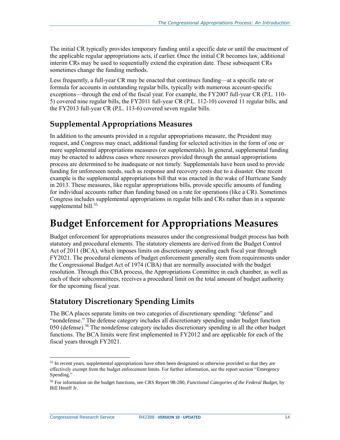The initial CR typically provides temporary funding until a specific date or until the enactment of the applicable regular appropriations acts, if earlier. Once the initial CR becomes law, additional interim CRs may be used to sequentially extend the expiration date. These subsequent CRs sometimes change the funding methods.

Less frequently, a full-year CR may be enacted that continues funding—at a specific rate or formula for accounts in outstanding regular bills, typically with numerous account-specific exceptions—through the end of the fiscal year. For example, the FY2007 full-year CR (P.L. 110- 5) covered nine regular bills, the FY2011 full-year CR (P.L. 112-10) covered 11 regular bills, and the FY2013 full-year CR (P.L. 113-6) covered seven regular bills.

## <span id="page-16-0"></span>**Supplemental Appropriations Measures**

In addition to the amounts provided in a regular appropriations measure, the President may request, and Congress may enact, additional funding for selected activities in the form of one or more supplemental appropriations measures (or supplementals). In general, supplemental funding may be enacted to address cases where resources provided through the annual appropriations process are determined to be inadequate or not timely. Supplementals have been used to provide funding for unforeseen needs, such as response and recovery costs due to a disaster. One recent example is the supplemental appropriations bill that was enacted in the wake of Hurricane Sandy in 2013. These measures, like regular appropriations bills, provide specific amounts of funding for individual accounts rather than funding based on a rate for operations (like a CR). Sometimes Congress includes supplemental appropriations in regular bills and CRs rather than in a separate supplemental bill.<sup>55</sup>

## <span id="page-16-1"></span>**Budget Enforcement for Appropriations Measures**

Budget enforcement for appropriations measures under the congressional budget process has both statutory and procedural elements. The statutory elements are derived from the Budget Control Act of 2011 (BCA), which imposes limits on discretionary spending each fiscal year through FY2021. The procedural elements of budget enforcement generally stem from requirements under the Congressional Budget Act of 1974 (CBA) that are normally associated with the budget resolution. Through this CBA process, the Appropriations Committee in each chamber, as well as each of their subcommittees, receives a procedural limit on the total amount of budget authority for the upcoming fiscal year.

## <span id="page-16-2"></span>**Statutory Discretionary Spending Limits**

The BCA places separate limits on two categories of discretionary spending: "defense" and "nondefense." The defense category includes all discretionary spending under budget function 050 (defense).<sup>56</sup> The nondefense category includes discretionary spending in all the other budget functions. The BCA limits were first implemented in FY2012 and are applicable for each of the fiscal years through FY2021.

<sup>&</sup>lt;sup>55</sup> In recent years, supplemental appropriations have often been designated or otherwise provided so that they are effectively exempt from the budget enforcement limits. For further information, see the report section ["Emergency](#page-21-0)  [Spending.](#page-21-0)"

<sup>56</sup> For information on the budget functions, see CRS Report 98-280, *Functional Categories of the Federal Budget*, by Bill Heniff Jr.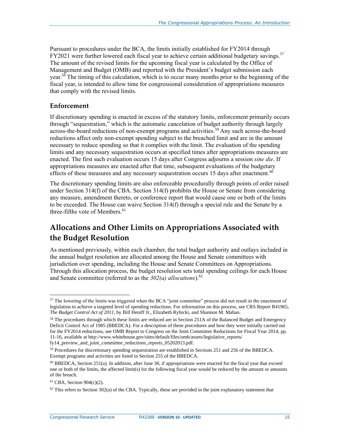Pursuant to procedures under the BCA, the limits initially established for FY2014 through FY2021 were further lowered each fiscal year to achieve certain additional budgetary savings.<sup>57</sup> The amount of the revised limits for the upcoming fiscal year is calculated by the Office of Management and Budget (OMB) and reported with the President's budget submission each year.<sup>58</sup> The timing of this calculation, which is to occur many months prior to the beginning of the fiscal year, is intended to allow time for congressional consideration of appropriations measures that comply with the revised limits.

#### <span id="page-17-0"></span>**Enforcement**

If discretionary spending is enacted in excess of the statutory limits, enforcement primarily occurs through "sequestration," which is the automatic cancelation of budget authority through largely across-the-board reductions of non-exempt programs and activities.<sup>59</sup> Any such across-the-board reductions affect only non-exempt spending subject to the breached limit and are in the amount necessary to reduce spending so that it complies with the limit. The evaluation of the spending limits and any necessary sequestration occurs at specified times after appropriations measures are enacted. The first such evaluation occurs 15 days after Congress adjourns a session *sine die*. If appropriations measures are enacted after that time, subsequent evaluations of the budgetary effects of these measures and any necessary sequestration occurs 15 days after enactment. $60$ 

The discretionary spending limits are also enforceable procedurally through points of order raised under Section 314(f) of the CBA. Section 314(f) prohibits the House or Senate from considering any measure, amendment thereto, or conference report that would cause one or both of the limits to be exceeded. The House can waive Section 314(f) through a special rule and the Senate by a three-fifths vote of Members.<sup>61</sup>

## <span id="page-17-1"></span>**Allocations and Other Limits on Appropriations Associated with the Budget Resolution**

As mentioned previously, within each chamber, the total budget authority and outlays included in the annual budget resolution are allocated among the House and Senate committees with jurisdiction over spending, including the House and Senate Committees on Appropriations. Through this allocation process, the budget resolution sets total spending ceilings for each House and Senate committee (referred to as the *302(a) allocations*).<sup>62</sup>

 $\overline{a}$ <sup>57</sup> The lowering of the limits was triggered when the BCA "joint committee" process did not result in the enactment of legislation to achieve a targeted level of spending reductions. For information on this process, see CRS Report R41965, *The Budget Control Act of 2011*, by Bill Heniff Jr., Elizabeth Rybicki, and Shannon M. Mahan.

<sup>&</sup>lt;sup>58</sup> The procedures through which these limits are reduced are in Section 251A of the Balanced Budget and Emergency Deficit Control Act of 1985 (BBEDCA). For a description of these procedures and how they were initially carried out for the FY2014 reductions, see OMB Report to Congress on the Joint Committee Reductions for Fiscal Year 2014, pp. 11-16, available at http://www.whitehouse.gov/sites/default/files/omb/assets/legislative\_reports/ fy14\_preview\_and\_joint\_committee\_reductions\_reports\_05202013.pdf.

<sup>59</sup> Procedures for discretionary spending sequestration are established in Sections 251 and 256 of the BBEDCA. Exempt programs and activities are listed in Section 255 of the BBEDCA.

<sup>60</sup> BBEDCA, Section 251(a). In addition, after June 30, if appropriations were enacted for the fiscal year that exceed one or both of the limits, the affected limit(s) for the following fiscal year would be reduced by the amount or amounts of the breach.

<sup>61</sup> CBA, Section 904(c)(2).

 $62$  This refers to Section 302(a) of the CBA. Typically, these are provided in the joint explanatory statement that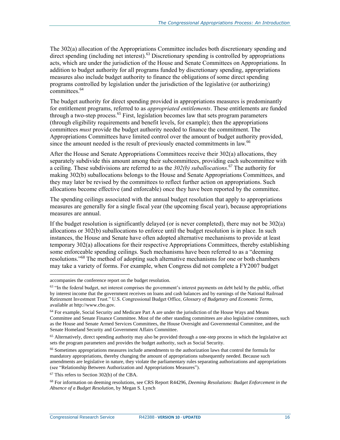The 302(a) allocation of the Appropriations Committee includes both discretionary spending and direct spending (including net interest).<sup>63</sup> Discretionary spending is controlled by appropriations acts, which are under the jurisdiction of the House and Senate Committees on Appropriations. In addition to budget authority for all programs funded by discretionary spending, appropriations measures also include budget authority to finance the obligations of some direct spending programs controlled by legislation under the jurisdiction of the legislative (or authorizing) committees.<sup>64</sup>

The budget authority for direct spending provided in appropriations measures is predominantly for entitlement programs, referred to as *appropriated entitlements*. These entitlements are funded through a two-step process.<sup>65</sup> First, legislation becomes law that sets program parameters (through eligibility requirements and benefit levels, for example); then the appropriations committees *must* provide the budget authority needed to finance the commitment. The Appropriations Committees have limited control over the amount of budget authority provided, since the amount needed is the result of previously enacted commitments in law.<sup>66</sup>

After the House and Senate Appropriations Committees receive their 302(a) allocations, they separately subdivide this amount among their subcommittees, providing each subcommittee with a ceiling. These subdivisions are referred to as the *302(b) suballocations*. <sup>67</sup> The authority for making 302(b) suballocations belongs to the House and Senate Appropriations Committees, and they may later be revised by the committees to reflect further action on appropriations. Such allocations become effective (and enforcable) once they have been reported by the committee.

The spending ceilings associated with the annual budget resolution that apply to appropriations measures are generally for a single fiscal year (the upcoming fiscal year), because appropriations measures are annual.

If the budget resolution is significantly delayed (or is never completed), there may not be 302(a) allocations or 302(b) suballocations to enforce until the budget resolution is in place. In such instances, the House and Senate have often adopted alternative mechanisms to provide at least temporary 302(a) allocations for their respective Appropriations Committees, thereby establishing some enforceable spending ceilings. Such mechanisms have been referred to as a "deeming resolutions."<sup>68</sup> The method of adopting such alternative mechanisms for one or both chambers may take a variety of forms. For example, when Congress did not complete a FY2007 budget

accompanies the conference report on the budget resolution.

 $63$  "In the federal budget, net interest comprises the government's interest payments on debt held by the public, offset by interest income that the government receives on loans and cash balances and by earnings of the National Railroad Retirement Investment Trust." U.S. Congressional Budget Office, *Glossary of Budgetary and Economic Terms*, available at http://www.cbo.gov.

<sup>&</sup>lt;sup>64</sup> For example, Social Security and Medicare Part A are under the jurisdiction of the House Ways and Means Committee and Senate Finance Committee. Most of the other standing committees are also legislative committees, such as the House and Senate Armed Services Committees, the House Oversight and Governmental Committee, and the Senate Homeland Security and Government Affairs Committee.

<sup>&</sup>lt;sup>65</sup> Alternatively, direct spending authority may also be provided through a one-step process in which the legislative act sets the program parameters and provides the budget authority, such as Social Security.

<sup>66</sup> Sometimes appropriations measures include amendments to the authorization laws that control the formula for mandatory appropriations, thereby changing the amount of appropriations subsequently needed. Because such amendments are legislative in nature, they violate the parliamentary rules separating authorizations and appropriations (see ["Relationship Between Authorization and Appropriations Measures"](#page-11-1)).

<sup>67</sup> This refers to Section 302(b) of the CBA.

<sup>68</sup> For information on deeming resolutions, see CRS Report R44296, *Deeming Resolutions: Budget Enforcement in the Absence of a Budget Resolution*, by Megan S. Lynch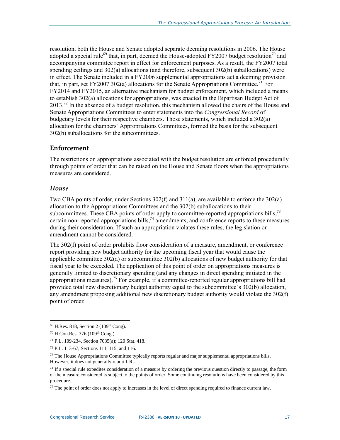resolution, both the House and Senate adopted separate deeming resolutions in 2006. The House adopted a special rule<sup>69</sup> that, in part, deemed the House-adopted FY2007 budget resolution<sup>70</sup> and accompanying committee report in effect for enforcement purposes. As a result, the FY2007 total spending ceilings and 302(a) allocations (and therefore, subsequent 302(b) suballocations) were in effect. The Senate included in a FY2006 supplemental appropriations act a deeming provision that, in part, set FY2007 302(a) allocations for the Senate Appropriations Committee.<sup>71</sup> For FY2014 and FY2015, an alternative mechanism for budget enforcement, which included a means to establish 302(a) allocations for appropriations, was enacted in the Bipartisan Budget Act of  $2013<sup>72</sup>$  In the absence of a budget resolution, this mechanism allowed the chairs of the House and Senate Appropriations Committees to enter statements into the *Congressional Record* of budgetary levels for their respective chambers. Those statements, which included a 302(a) allocation for the chambers' Appropriations Committees, formed the basis for the subsequent 302(b) suballocations for the subcommittees.

#### <span id="page-19-0"></span>**Enforcement**

The restrictions on appropriations associated with the budget resolution are enforced procedurally through points of order that can be raised on the House and Senate floors when the appropriations measures are considered.

#### *House*

Two CBA points of order, under Sections 302(f) and 311(a), are available to enforce the 302(a) allocation to the Appropriations Committees and the 302(b) suballocations to their subcommittees. These CBA points of order apply to committee-reported appropriations bills,  $73$ certain non-reported appropriations bills,<sup>74</sup> amendments, and conference reports to these measures during their consideration. If such an appropriation violates these rules, the legislation or amendment cannot be considered.

The 302(f) point of order prohibits floor consideration of a measure, amendment, or conference report providing new budget authority for the upcoming fiscal year that would cause the applicable committee  $302(a)$  or subcommittee  $302(b)$  allocations of new budget authority for that fiscal year to be exceeded. The application of this point of order on appropriations measures is generally limited to discretionary spending (and any changes in direct spending initiated in the appropriations measures).<sup>75</sup> For example, if a committee-reported regular appropriations bill had provided total new discretionary budget authority equal to the subcommittee's 302(b) allocation, any amendment proposing additional new discretionary budget authority would violate the 302(f) point of order.

 $69$  H.Res. 818, Section 2 (109<sup>th</sup> Cong).

<sup>70</sup> H.Con.Res. 376 (109th Cong.).

<sup>71</sup> P.L. 109-234, Section 7035(a); 120 Stat. 418.

<sup>72</sup> P.L. 113-67, Sections 111, 115, and 116.

 $73$  The House Appropriations Committee typically reports regular and major supplemental appropriations bills. However, it does not generally report CRs.

 $74$  If a special rule expedites consideration of a measure by ordering the previous question directly to passage, the form of the measure considered is subject to the points of order. Some continuing resolutions have been considered by this procedure.

<sup>&</sup>lt;sup>75</sup> The point of order does not apply to increases in the level of direct spending required to finance current law.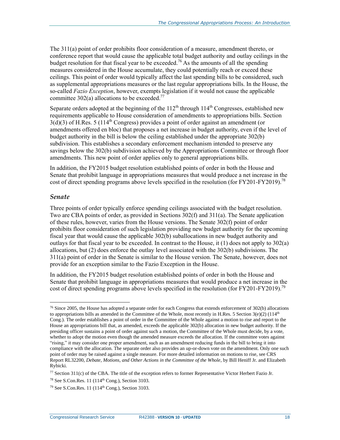The 311(a) point of order prohibits floor consideration of a measure, amendment thereto, or conference report that would cause the applicable total budget authority and outlay ceilings in the budget resolution for that fiscal year to be exceeded.<sup>76</sup> As the amounts of all the spending measures considered in the House accumulate, they could potentially reach or exceed these ceilings. This point of order would typically affect the last spending bills to be considered, such as supplemental appropriations measures or the last regular appropriations bills. In the House, the so-called *Fazio Exception*, however, exempts legislation if it would not cause the applicable committee 302(a) allocations to be exceeded.<sup>77</sup>

Separate orders adopted at the beginning of the  $112<sup>th</sup>$  through  $114<sup>th</sup>$  Congresses, established new requirements applicable to House consideration of amendments to appropriations bills. Section  $3(d)(3)$  of H.Res. 5 (114<sup>th</sup> Congress) provides a point of order against an amendment (or amendments offered en bloc) that proposes a net increase in budget authority, even if the level of budget authority in the bill is below the ceiling established under the appropriate 302(b) subdivision. This establishes a secondary enforcement mechanism intended to preserve any savings below the 302(b) subdivision achieved by the Appropriations Committee or through floor amendments. This new point of order applies only to general appropriations bills.

In addition, the FY2015 budget resolution established points of order in both the House and Senate that prohibit language in appropriations measures that would produce a net increase in the cost of direct spending programs above levels specified in the resolution (for FY201-FY2019).<sup>78</sup>

#### *Senate*

 $\overline{a}$ 

Three points of order typically enforce spending ceilings associated with the budget resolution. Two are CBA points of order, as provided in Sections 302(f) and 311(a). The Senate application of these rules, however, varies from the House versions. The Senate 302(f) point of order prohibits floor consideration of such legislation providing new budget authority for the upcoming fiscal year that would cause the applicable 302(b) suballocations in new budget authority and outlays for that fiscal year to be exceeded. In contrast to the House, it  $(1)$  does not apply to  $302(a)$ allocations, but (2) does enforce the outlay level associated with the 302(b) subdivisions. The 311(a) point of order in the Senate is similar to the House version. The Senate, however, does not provide for an exception similar to the Fazio Exception in the House.

In addition, the FY2015 budget resolution established points of order in both the House and Senate that prohibit language in appropriations measures that would produce a net increase in the cost of direct spending programs above levels specified in the resolution (for FY201-FY2019).<sup>79</sup>

 $76$  Since 2005, the House has adopted a separate order for each Congress that extends enforcement of 302(b) allocations to appropriations bills as amended in the Committee of the Whole, most recently in H.Res. 5 Section  $3(e)(2)$  (114<sup>th</sup> Cong.). The order establishes a point of order in the Committee of the Whole against a motion to rise and report to the House an appropriations bill that, as amended, exceeds the applicable 302(b) allocation in new budget authority. If the presiding officer sustains a point of order against such a motion, the Committee of the Whole must decide, by a vote, whether to adopt the motion even though the amended measure exceeds the allocation. If the committee votes against "rising," it may consider one proper amendment, such as an amendment reducing funds in the bill to bring it into compliance with the allocation. The separate order also provides an up-or-down vote on the amendment. Only one such point of order may be raised against a single measure. For more detailed information on motions to rise, see CRS Report RL32200, *Debate, Motions, and Other Actions in the Committee of the Whole*, by Bill Heniff Jr. and Elizabeth Rybicki.

<sup>77</sup> Section 311(c) of the CBA. The title of the exception refers to former Representative Victor Herbert Fazio Jr.

<sup>78</sup> See S.Con.Res. 11 (114 th Cong.), Section 3103.

<sup>79</sup> See S.Con.Res. 11 (114 th Cong.), Section 3103.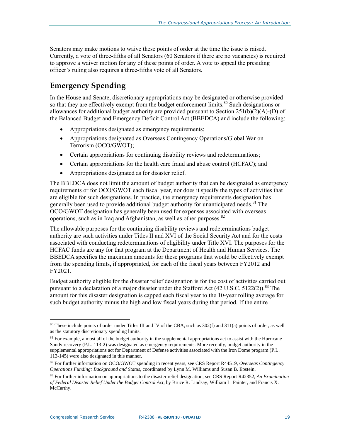Senators may make motions to waive these points of order at the time the issue is raised. Currently, a vote of three-fifths of all Senators (60 Senators if there are no vacancies) is required to approve a waiver motion for any of these points of order. A vote to appeal the presiding officer's ruling also requires a three-fifths vote of all Senators.

## <span id="page-21-0"></span>**Emergency Spending**

In the House and Senate, discretionary appropriations may be designated or otherwise provided so that they are effectively exempt from the budget enforcement limits.<sup>80</sup> Such designations or allowances for additional budget authority are provided pursuant to Section  $251(b)(2)(A)$ -(D) of the Balanced Budget and Emergency Deficit Control Act (BBEDCA) and include the following:

- Appropriations designated as emergency requirements;
- Appropriations designated as Overseas Contingency Operations/Global War on Terrorism (OCO/GWOT);
- Certain appropriations for continuing disability reviews and redeterminations;
- Certain appropriations for the health care fraud and abuse control (HCFAC); and
- Appropriations designated as for disaster relief.

The BBEDCA does not limit the amount of budget authority that can be designated as emergency requirements or for OCO/GWOT each fiscal year, nor does it specify the types of activities that are eligible for such designations. In practice, the emergency requirements designation has generally been used to provide additional budget authority for unanticipated needs.<sup>81</sup> The OCO/GWOT designation has generally been used for expenses associated with overseas operations, such as in Iraq and Afghanistan, as well as other purposes.<sup>82</sup>

The allowable purposes for the continuing disability reviews and redeterminations budget authority are such activities under Titles II and XVI of the Social Security Act and for the costs associated with conducting redeterminations of eligibility under Title XVI. The purposes for the HCFAC funds are any for that program at the Department of Health and Human Services. The BBEDCA specifies the maximum amounts for these programs that would be effectively exempt from the spending limits, if appropriated, for each of the fiscal years between FY2012 and FY2021.

Budget authority eligible for the disaster relief designation is for the cost of activities carried out pursuant to a declaration of a major disaster under the Stafford Act  $(42 \text{ U.S.C. } 5122(2))$ .<sup>83</sup> The amount for this disaster designation is capped each fiscal year to the 10-year rolling average for such budget authority minus the high and low fiscal years during that period. If the entire

 $\overline{a}$ <sup>80</sup> These include points of order under Titles III and IV of the CBA, such as 302(f) and 311(a) points of order, as well as the statutory discretionary spending limits.

 $81$  For example, almost all of the budget authority in the supplemental appropriations act to assist with the Hurricane Sandy recovery (P.L. 113-2) was designated as emergency requirements. More recently, budget authority in the supplemental appropriations act for Department of Defense activities associated with the Iron Dome program (P.L. 113-145) were also designated in this manner.

<sup>82</sup> For further information on OCO/GWOT spending in recent years, see CRS Report R44519, *Overseas Contingency Operations Funding: Background and Status*, coordinated by Lynn M. Williams and Susan B. Epstein.

<sup>83</sup> For further information on appropriations to the disaster relief designation, see CRS Report R42352, *An Examination of Federal Disaster Relief Under the Budget Control Act*, by Bruce R. Lindsay, William L. Painter, and Francis X. McCarthy.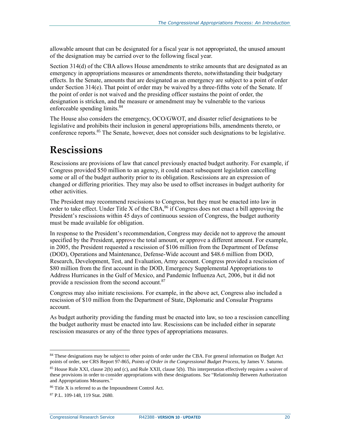allowable amount that can be designated for a fiscal year is not appropriated, the unused amount of the designation may be carried over to the following fiscal year.

Section 314(d) of the CBA allows House amendments to strike amounts that are designated as an emergency in appropriations measures or amendments thereto, notwithstanding their budgetary effects. In the Senate, amounts that are designated as an emergency are subject to a point of order under Section 314(e). That point of order may be waived by a three-fifths vote of the Senate. If the point of order is not waived and the presiding officer sustains the point of order, the designation is stricken, and the measure or amendment may be vulnerable to the various enforceable spending limits.<sup>84</sup>

The House also considers the emergency, OCO/GWOT, and disaster relief designations to be legislative and prohibits their inclusion in general appropriations bills, amendments thereto, or conference reports.<sup>85</sup> The Senate, however, does not consider such designations to be legislative.

## <span id="page-22-0"></span>**Rescissions**

Rescissions are provisions of law that cancel previously enacted budget authority. For example, if Congress provided \$50 million to an agency, it could enact subsequent legislation cancelling some or all of the budget authority prior to its obligation. Rescissions are an expression of changed or differing priorities. They may also be used to offset increases in budget authority for other activities.

The President may recommend rescissions to Congress, but they must be enacted into law in order to take effect. Under Title X of the CBA, <sup>86</sup> if Congress does not enact a bill approving the President's rescissions within 45 days of continuous session of Congress, the budget authority must be made available for obligation.

In response to the President's recommendation, Congress may decide not to approve the amount specified by the President, approve the total amount, or approve a different amount. For example, in 2005, the President requested a rescission of \$106 million from the Department of Defense (DOD), Operations and Maintenance, Defense-Wide account and \$48.6 million from DOD, Research, Development, Test, and Evaluation, Army account. Congress provided a rescission of \$80 million from the first account in the DOD, Emergency Supplemental Appropriations to Address Hurricanes in the Gulf of Mexico, and Pandemic Influenza Act, 2006, but it did not provide a rescission from the second account.<sup>87</sup>

Congress may also initiate rescissions. For example, in the above act, Congress also included a rescission of \$10 million from the Department of State, Diplomatic and Consular Programs account.

As budget authority providing the funding must be enacted into law, so too a rescission cancelling the budget authority must be enacted into law. Rescissions can be included either in separate rescission measures or any of the three types of appropriations measures.

 $\overline{a}$ 84 These designations may be subject to other points of order under the CBA. For general information on Budget Act points of order, see CRS Report 97-865, *Points of Order in the Congressional Budget Process*, by James V. Saturno.

<sup>85</sup> House Rule XXI, clause 2(b) and (c), and Rule XXII, clause 5(b). This interpretation effectively requires a waiver of these provisions in order to consider appropriations with these designations. See ["Relationship Between Authorization](#page-11-1)  [and Appropriations Measures."](#page-11-1)

<sup>86</sup> Title X is referred to as the Impoundment Control Act.

<sup>87</sup> P.L. 109-148, 119 Stat. 2680.